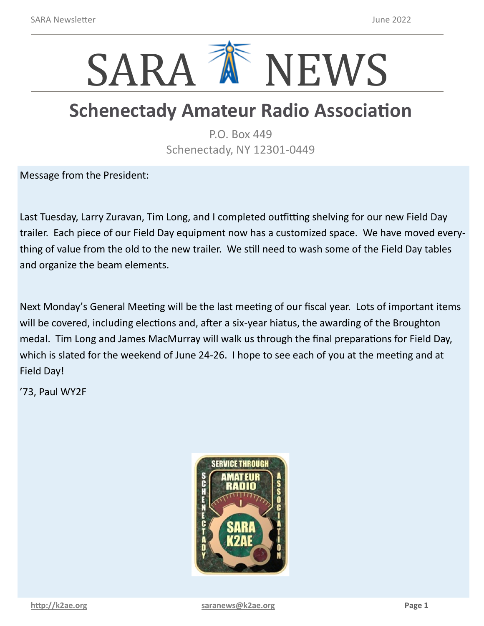

## **Schenectady Amateur Radio Association**

P.O. Box 449 Schenectady, NY 12301-0449

Message from the President:

Last Tuesday, Larry Zuravan, Tim Long, and I completed outfitting shelving for our new Field Day trailer. Each piece of our Field Day equipment now has a customized space. We have moved everything of value from the old to the new trailer. We still need to wash some of the Field Day tables and organize the beam elements.

Next Monday's General Meeting will be the last meeting of our fiscal year. Lots of important items will be covered, including elections and, after a six-year hiatus, the awarding of the Broughton medal. Tim Long and James MacMurray will walk us through the final preparations for Field Day, which is slated for the weekend of June 24-26. I hope to see each of you at the meeting and at Field Day!

'73, Paul WY2F

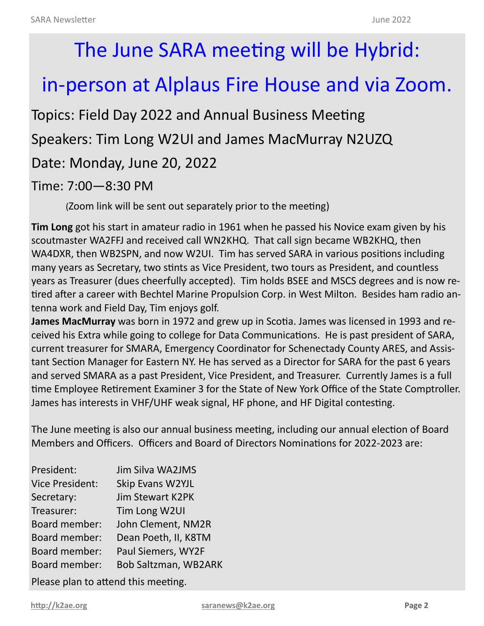# The June SARA meeting will be Hybrid:

## in-person at Alplaus Fire House and via Zoom.

Topics: Field Day 2022 and Annual Business Meeting Speakers: Tim Long W2UI and James MacMurray N2UZQ Date: Monday, June 20, 2022 Time: 7:00—8:30 PM

(Zoom link will be sent out separately prior to the meeting)

**Tim Long** got his start in amateur radio in 1961 when he passed his Novice exam given by his scoutmaster WA2FFJ and received call WN2KHQ. That call sign became WB2KHQ, then WA4DXR, then WB2SPN, and now W2UI. Tim has served SARA in various positions including many years as Secretary, two stints as Vice President, two tours as President, and countless years as Treasurer (dues cheerfully accepted). Tim holds BSEE and MSCS degrees and is now retired after a career with Bechtel Marine Propulsion Corp. in West Milton. Besides ham radio antenna work and Field Day, Tim enjoys golf.

**James MacMurray** was born in 1972 and grew up in Scotia. James was licensed in 1993 and received his Extra while going to college for Data Communications. He is past president of SARA, current treasurer for SMARA, Emergency Coordinator for Schenectady County ARES, and Assistant Section Manager for Eastern NY. He has served as a Director for SARA for the past 6 years and served SMARA as a past President, Vice President, and Treasurer. Currently James is a full time Employee Retirement Examiner 3 for the State of New York Office of the State Comptroller. James has interests in VHF/UHF weak signal, HF phone, and HF Digital contesting.

The June meeting is also our annual business meeting, including our annual election of Board Members and Officers. Officers and Board of Directors Nominations for 2022-2023 are:

| President:                          | <b>Jim Silva WA2JMS</b>     |  |  |  |
|-------------------------------------|-----------------------------|--|--|--|
|                                     |                             |  |  |  |
| <b>Vice President:</b>              | Skip Evans W2YJL            |  |  |  |
| Secretary:                          | <b>Jim Stewart K2PK</b>     |  |  |  |
| Treasurer:                          | Tim Long W2UI               |  |  |  |
| Board member:                       | John Clement, NM2R          |  |  |  |
| Board member:                       | Dean Poeth, II, K8TM        |  |  |  |
| Board member:                       | Paul Siemers, WY2F          |  |  |  |
| Board member:                       | <b>Bob Saltzman, WB2ARK</b> |  |  |  |
| Please plan to attend this meeting. |                             |  |  |  |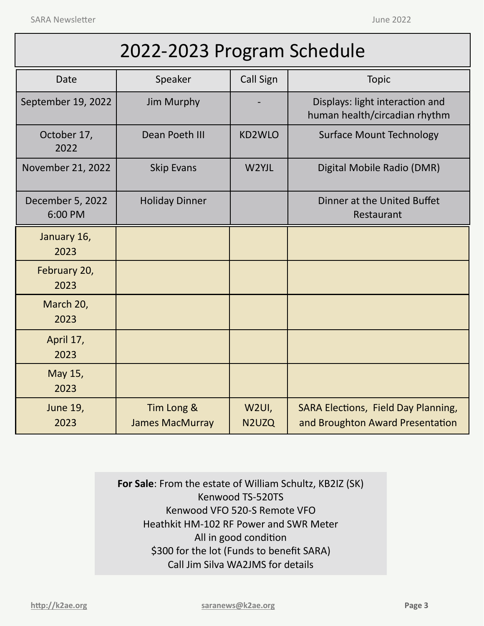SARA Newsletter and the settlement of the settlement of the settlement of the settlement of the settlement of the settlement of the settlement of the settlement of the settlement of the settlement of the settlement of the

| 2022-2023 Program Schedule |  |  |  |
|----------------------------|--|--|--|
|----------------------------|--|--|--|

| Date                        | Speaker                              | <b>Call Sign</b> | <b>Topic</b>                                                                   |
|-----------------------------|--------------------------------------|------------------|--------------------------------------------------------------------------------|
| September 19, 2022          | Jim Murphy                           |                  | Displays: light interaction and<br>human health/circadian rhythm               |
| October 17,<br>2022         | Dean Poeth III                       | KD2WLO           | <b>Surface Mount Technology</b>                                                |
| November 21, 2022           | <b>Skip Evans</b>                    | W2YJL            | Digital Mobile Radio (DMR)                                                     |
| December 5, 2022<br>6:00 PM | <b>Holiday Dinner</b>                |                  | Dinner at the United Buffet<br>Restaurant                                      |
| January 16,<br>2023         |                                      |                  |                                                                                |
| February 20,<br>2023        |                                      |                  |                                                                                |
| March 20,<br>2023           |                                      |                  |                                                                                |
| April 17,<br>2023           |                                      |                  |                                                                                |
| May 15,<br>2023             |                                      |                  |                                                                                |
| <b>June 19,</b><br>2023     | Tim Long &<br><b>James MacMurray</b> | W2UI,<br>N2UZQ   | <b>SARA Elections, Field Day Planning,</b><br>and Broughton Award Presentation |

**For Sale**: From the estate of William Schultz, KB2IZ (SK) Kenwood TS-520TS Kenwood VFO 520-S Remote VFO Heathkit HM-102 RF Power and SWR Meter All in good condition \$300 for the lot (Funds to benefit SARA) Call Jim Silva WA2JMS for details

**<http://k2ae.org> [saranews@k2ae.org](mailto:saranews@k2ae.org) Page 3**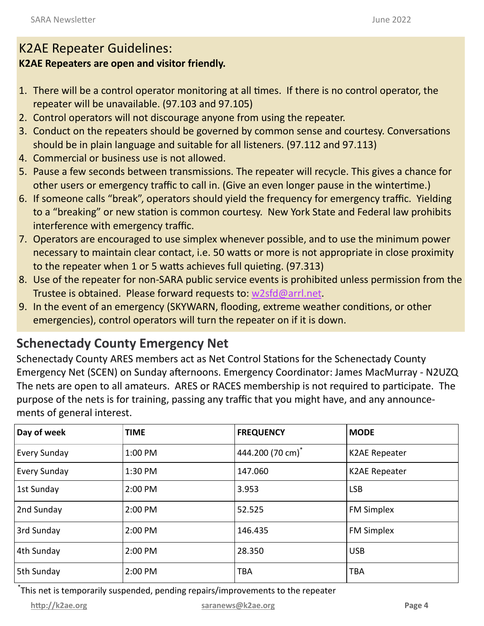#### K2AE Repeater Guidelines:

#### **K2AE Repeaters are open and visitor friendly.**

- 1. There will be a control operator monitoring at all times. If there is no control operator, the repeater will be unavailable. (97.103 and 97.105)
- 2. Control operators will not discourage anyone from using the repeater.
- 3. Conduct on the repeaters should be governed by common sense and courtesy. Conversations should be in plain language and suitable for all listeners. (97.112 and 97.113)
- 4. Commercial or business use is not allowed.
- 5. Pause a few seconds between transmissions. The repeater will recycle. This gives a chance for other users or emergency traffic to call in. (Give an even longer pause in the wintertime.)
- 6. If someone calls "break", operators should yield the frequency for emergency traffic. Yielding to a "breaking" or new station is common courtesy. New York State and Federal law prohibits interference with emergency traffic.
- 7. Operators are encouraged to use simplex whenever possible, and to use the minimum power necessary to maintain clear contact, i.e. 50 watts or more is not appropriate in close proximity to the repeater when 1 or 5 watts achieves full quieting. (97.313)
- 8. Use of the repeater for non-SARA public service events is prohibited unless permission from the Trustee is obtained. Please forward requests to: [w2sfd@arrl.net.](mailto:w2sfd@arrl.net)
- 9. In the event of an emergency (SKYWARN, flooding, extreme weather conditions, or other emergencies), control operators will turn the repeater on if it is down.

### **Schenectady County Emergency Net**

Schenectady County ARES members act as Net Control Stations for the Schenectady County Emergency Net (SCEN) on Sunday afternoons. Emergency Coordinator: James MacMurray - N2UZQ The nets are open to all amateurs. ARES or RACES membership is not required to participate. The purpose of the nets is for training, passing any traffic that you might have, and any announcements of general interest.

| Day of week         | <b>TIME</b> | <b>FREQUENCY</b>             | <b>MODE</b>          |
|---------------------|-------------|------------------------------|----------------------|
| <b>Every Sunday</b> | 1:00 PM     | 444.200 (70 cm) <sup>*</sup> | <b>K2AE Repeater</b> |
| <b>Every Sunday</b> | 1:30 PM     | 147.060                      | <b>K2AE Repeater</b> |
| 1st Sunday          | 2:00 PM     | 3.953                        | <b>LSB</b>           |
| 2nd Sunday          | 2:00 PM     | 52.525                       | <b>FM Simplex</b>    |
| 3rd Sunday          | 2:00 PM     | 146.435                      | <b>FM Simplex</b>    |
| 4th Sunday          | 2:00 PM     | 28.350                       | <b>USB</b>           |
| 5th Sunday          | 2:00 PM     | <b>TBA</b>                   | <b>TBA</b>           |

\* This net is temporarily suspended, pending repairs/improvements to the repeater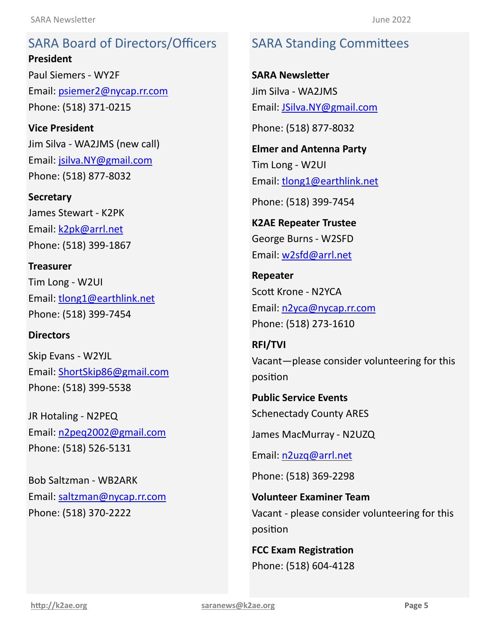SARA Board of Directors/Officers **President President** Email: [psiemer2@nycap.rr.com](mailto:psiemer2@nycap.rr.com) <u>\_\_\_\_\_\_\_</u><br>D.R. Hotaling - N2PEQ Phone: (518) 371-0215 SARA Board of Directors/Officers Paul Siemers - WY2F

**Vice President Vice President** Jim Silva - WA2JMS (new call) Email: [jsilva.NY@gmail.com](mailto:jsilva.NY@gmail.com) Phone: (518) 877-8032

**Secretary Secretary** James Stewart - K2PK James Stewart - K2PK Email: **k2pk@arrl.net** Phone: (518) 399-1867 Phone: (518) 399-1867

**Treasurer**Tim Long - W2UI Email: [tlong1@earthlink.net](mailto:tlong1@earthlink.net) Tim Long - W2UI **Director** Email: [tlong1@earthlink.net](mailto:tlong1@earthlink.net) Phone: (518) 399-7454 **Treasurer**

#### **Directors**

**Director** Skip Evans - W2YJL Email: **[ShortSkip86@gmail.com](mailto:ShortSkip86@gmail.com)** Phone: (518) 399-5538

**Director** JR Hotaling - N2PEQ Email: [n2peq2002@gmail.com](mailto:n2peq2002@gmail.com) Phone: (518) 526-5131

**Director** Bob Saltzman - WB2ARK Email: saltzman@nycap.rr.com Email: <mark>terremail@thycopathic</mark> Phone: (518) 370-2222

#### SARA Standing Committees SARA Standing Committees

**SARA Newsletter** Jim Silva - WA2JMS jim Silva - KC2 Email: [JSilva.NY@gmail.com](mailto:JSilva.NY@gmail.com) Email: [JSilva.NY@gmail.com](mailto:JSilva.NY@gmail.com) **SARA Newsletter**

Phone: (518) 877-8032 Phone: (518) 877-8032

**Elmer and Antenna Party Elmer and Antenna Party**  $\blacksquare$ Tim Long - W2UI Email: **[tlong1@earthlink.net](mailto:tlong1@earthlink.net)** 

Phone: (518) 399-7454

 $\frac{1}{2}$ K2AE Repeater Trustee **Repeater** George Burns - W2SFD Email: <u>[w2sfd@arrl.net](mailto:w2sfd@arrl.net)</u>

**Repeater Repeater** Scott Krone - N2YCA **RFI/TVI** Email: [n2yca@nycap.rr.com](mailto:n2yca@nycap.rr.com) Open **Public Service Events** Phone: (518) 273-1610

Schenectady County ARES **RFI/TVI** Vacant-please consider volunteering for this position **provide** 

Phone: (518) 369-2298 **Public Service Events** Schenectady County ARES

**FCC Exam Registration** James MacMurray - N2UZQ

Phone: (518) 604-4128 Email: [n2uzq@arrl.net](mailto:n2uzq@arrl.net)

Phone: (518) 369-2298

**Volunteer Examiner Team** Vacant - please consider volunteering for this position

**FCC Exam Registration** Phone: (518) 604-4128